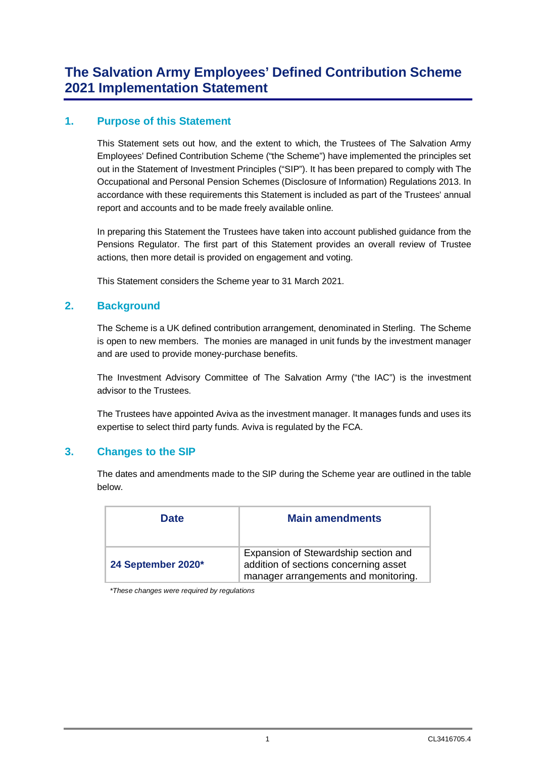### **1. Purpose of this Statement**

This Statement sets out how, and the extent to which, the Trustees of The Salvation Army Employees' Defined Contribution Scheme ("the Scheme") have implemented the principles set out in the Statement of Investment Principles ("SIP"). It has been prepared to comply with The Occupational and Personal Pension Schemes (Disclosure of Information) Regulations 2013. In accordance with these requirements this Statement is included as part of the Trustees' annual report and accounts and to be made freely available online.

In preparing this Statement the Trustees have taken into account published guidance from the Pensions Regulator. The first part of this Statement provides an overall review of Trustee actions, then more detail is provided on engagement and voting.

This Statement considers the Scheme year to 31 March 2021.

### **2. Background**

The Scheme is a UK defined contribution arrangement, denominated in Sterling. The Scheme is open to new members. The monies are managed in unit funds by the investment manager and are used to provide money-purchase benefits.

The Investment Advisory Committee of The Salvation Army ("the IAC") is the investment advisor to the Trustees.

The Trustees have appointed Aviva as the investment manager. It manages funds and uses its expertise to select third party funds. Aviva is regulated by the FCA.

### **3. Changes to the SIP**

The dates and amendments made to the SIP during the Scheme year are outlined in the table below.

| <b>Date</b>        | <b>Main amendments</b>                                                                                                |
|--------------------|-----------------------------------------------------------------------------------------------------------------------|
| 24 September 2020* | Expansion of Stewardship section and<br>addition of sections concerning asset<br>manager arrangements and monitoring. |

*\*These changes were required by regulations*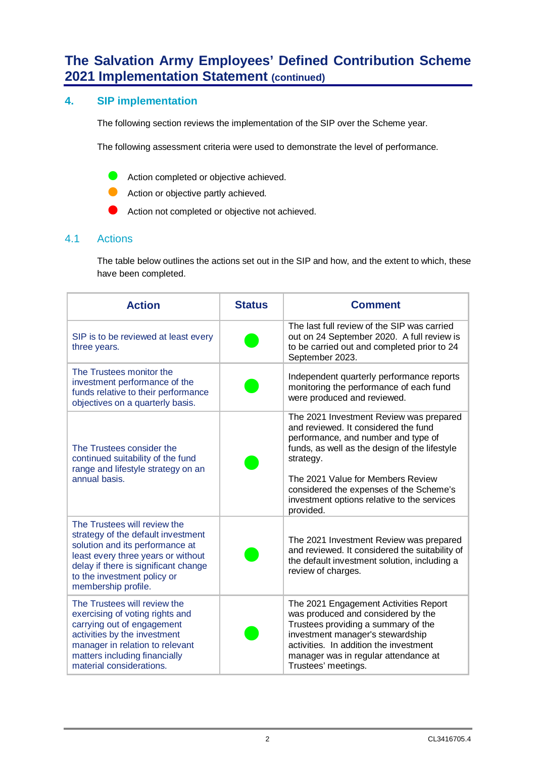### **4. SIP implementation**

The following section reviews the implementation of the SIP over the Scheme year.

The following assessment criteria were used to demonstrate the level of performance.

- **C** Action completed or objective achieved.
- **Action or objective partly achieved.**
- **Action not completed or objective not achieved.**

### 4.1 Actions

The table below outlines the actions set out in the SIP and how, and the extent to which, these have been completed.

| <b>Action</b>                                                                                                                                                                                                                             | <b>Status</b> | <b>Comment</b>                                                                                                                                                                                                                                                                                                                   |
|-------------------------------------------------------------------------------------------------------------------------------------------------------------------------------------------------------------------------------------------|---------------|----------------------------------------------------------------------------------------------------------------------------------------------------------------------------------------------------------------------------------------------------------------------------------------------------------------------------------|
| SIP is to be reviewed at least every<br>three years.                                                                                                                                                                                      |               | The last full review of the SIP was carried<br>out on 24 September 2020. A full review is<br>to be carried out and completed prior to 24<br>September 2023.                                                                                                                                                                      |
| The Trustees monitor the<br>investment performance of the<br>funds relative to their performance<br>objectives on a quarterly basis.                                                                                                      |               | Independent quarterly performance reports<br>monitoring the performance of each fund<br>were produced and reviewed.                                                                                                                                                                                                              |
| The Trustees consider the<br>continued suitability of the fund<br>range and lifestyle strategy on an<br>annual basis.                                                                                                                     |               | The 2021 Investment Review was prepared<br>and reviewed. It considered the fund<br>performance, and number and type of<br>funds, as well as the design of the lifestyle<br>strategy.<br>The 2021 Value for Members Review<br>considered the expenses of the Scheme's<br>investment options relative to the services<br>provided. |
| The Trustees will review the<br>strategy of the default investment<br>solution and its performance at<br>least every three years or without<br>delay if there is significant change<br>to the investment policy or<br>membership profile. |               | The 2021 Investment Review was prepared<br>and reviewed. It considered the suitability of<br>the default investment solution, including a<br>review of charges.                                                                                                                                                                  |
| The Trustees will review the<br>exercising of voting rights and<br>carrying out of engagement<br>activities by the investment<br>manager in relation to relevant<br>matters including financially<br>material considerations.             |               | The 2021 Engagement Activities Report<br>was produced and considered by the<br>Trustees providing a summary of the<br>investment manager's stewardship<br>activities. In addition the investment<br>manager was in regular attendance at<br>Trustees' meetings.                                                                  |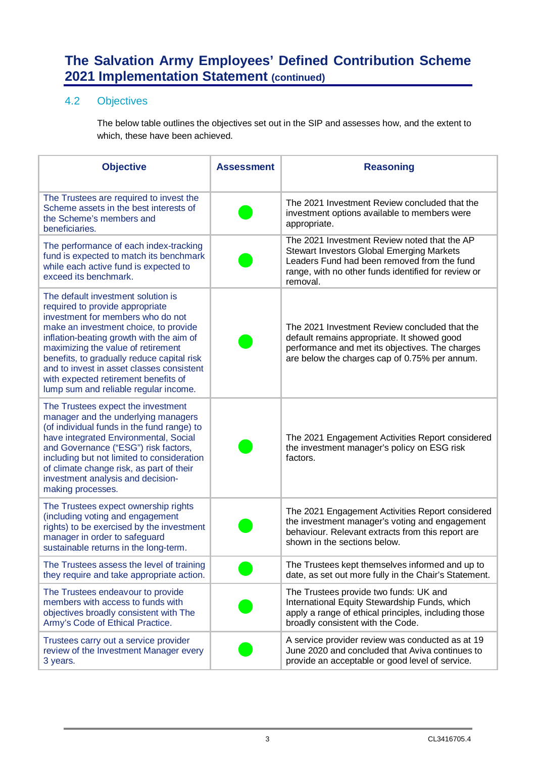### 4.2 Objectives

The below table outlines the objectives set out in the SIP and assesses how, and the extent to which, these have been achieved.

| <b>Objective</b>                                                                                                                                                                                                                                                                                                                                                                                                  | <b>Assessment</b> | <b>Reasoning</b>                                                                                                                                                                                                   |
|-------------------------------------------------------------------------------------------------------------------------------------------------------------------------------------------------------------------------------------------------------------------------------------------------------------------------------------------------------------------------------------------------------------------|-------------------|--------------------------------------------------------------------------------------------------------------------------------------------------------------------------------------------------------------------|
| The Trustees are required to invest the<br>Scheme assets in the best interests of<br>the Scheme's members and<br>beneficiaries.                                                                                                                                                                                                                                                                                   |                   | The 2021 Investment Review concluded that the<br>investment options available to members were<br>appropriate.                                                                                                      |
| The performance of each index-tracking<br>fund is expected to match its benchmark<br>while each active fund is expected to<br>exceed its benchmark.                                                                                                                                                                                                                                                               |                   | The 2021 Investment Review noted that the AP<br><b>Stewart Investors Global Emerging Markets</b><br>Leaders Fund had been removed from the fund<br>range, with no other funds identified for review or<br>removal. |
| The default investment solution is<br>required to provide appropriate<br>investment for members who do not<br>make an investment choice, to provide<br>inflation-beating growth with the aim of<br>maximizing the value of retirement<br>benefits, to gradually reduce capital risk<br>and to invest in asset classes consistent<br>with expected retirement benefits of<br>lump sum and reliable regular income. |                   | The 2021 Investment Review concluded that the<br>default remains appropriate. It showed good<br>performance and met its objectives. The charges<br>are below the charges cap of 0.75% per annum.                   |
| The Trustees expect the investment<br>manager and the underlying managers<br>(of individual funds in the fund range) to<br>have integrated Environmental, Social<br>and Governance ("ESG") risk factors,<br>including but not limited to consideration<br>of climate change risk, as part of their<br>investment analysis and decision-<br>making processes.                                                      |                   | The 2021 Engagement Activities Report considered<br>the investment manager's policy on ESG risk<br>factors.                                                                                                        |
| The Trustees expect ownership rights<br>(including voting and engagement<br>rights) to be exercised by the investment<br>manager in order to safeguard<br>sustainable returns in the long-term.                                                                                                                                                                                                                   |                   | The 2021 Engagement Activities Report considered<br>the investment manager's voting and engagement<br>behaviour. Relevant extracts from this report are<br>shown in the sections below.                            |
| The Trustees assess the level of training<br>they require and take appropriate action.                                                                                                                                                                                                                                                                                                                            |                   | The Trustees kept themselves informed and up to<br>date, as set out more fully in the Chair's Statement.                                                                                                           |
| The Trustees endeavour to provide<br>members with access to funds with<br>objectives broadly consistent with The<br>Army's Code of Ethical Practice.                                                                                                                                                                                                                                                              |                   | The Trustees provide two funds: UK and<br>International Equity Stewardship Funds, which<br>apply a range of ethical principles, including those<br>broadly consistent with the Code.                               |
| Trustees carry out a service provider<br>review of the Investment Manager every<br>3 years.                                                                                                                                                                                                                                                                                                                       |                   | A service provider review was conducted as at 19<br>June 2020 and concluded that Aviva continues to<br>provide an acceptable or good level of service.                                                             |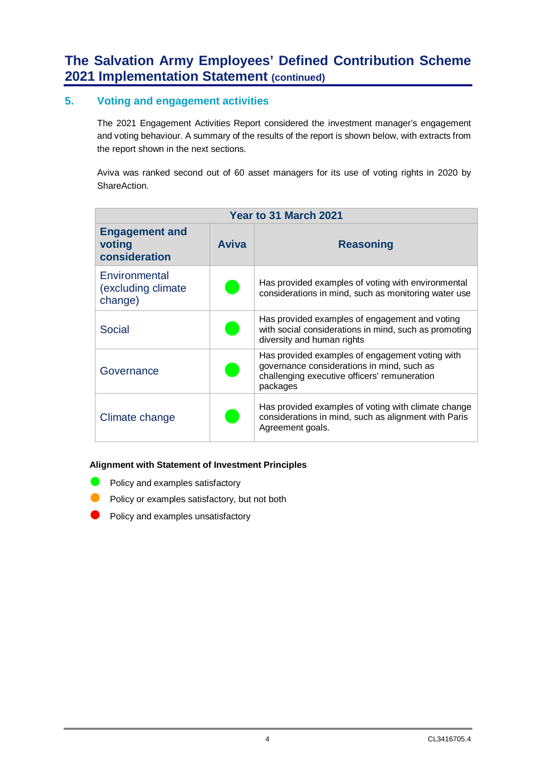### **5. Voting and engagement activities**

The 2021 Engagement Activities Report considered the investment manager's engagement and voting behaviour. A summary of the results of the report is shown below, with extracts from the report shown in the next sections.

Aviva was ranked second out of 60 asset managers for its use of voting rights in 2020 by ShareAction.

| Year to 31 March 2021                            |              |                                                                                                                                                           |  |
|--------------------------------------------------|--------------|-----------------------------------------------------------------------------------------------------------------------------------------------------------|--|
| <b>Engagement and</b><br>voting<br>consideration | <b>Aviva</b> | <b>Reasoning</b>                                                                                                                                          |  |
| Environmental<br>(excluding climate)<br>change)  |              | Has provided examples of voting with environmental<br>considerations in mind, such as monitoring water use                                                |  |
| <b>Social</b>                                    |              | Has provided examples of engagement and voting<br>with social considerations in mind, such as promoting<br>diversity and human rights                     |  |
| Governance                                       |              | Has provided examples of engagement voting with<br>governance considerations in mind, such as<br>challenging executive officers' remuneration<br>packages |  |
| Climate change                                   |              | Has provided examples of voting with climate change<br>considerations in mind, such as alignment with Paris<br>Agreement goals.                           |  |

#### **Alignment with Statement of Investment Principles**

- $\bullet$  Policy and examples satisfactory
- Policy or examples satisfactory, but not both
- Policy and examples unsatisfactory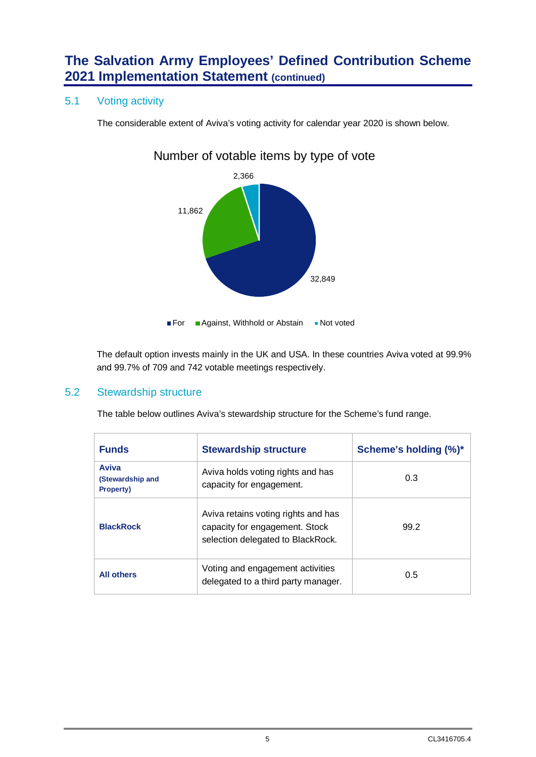### 5.1 Voting activity

The considerable extent of Aviva's voting activity for calendar year 2020 is shown below.

## Number of votable items by type of vote



The default option invests mainly in the UK and USA. In these countries Aviva voted at 99.9% and 99.7% of 709 and 742 votable meetings respectively.

### 5.2 Stewardship structure

The table below outlines Aviva's stewardship structure for the Scheme's fund range.

| <b>Funds</b>                                         | <b>Stewardship structure</b>                                                                               | Scheme's holding (%)* |
|------------------------------------------------------|------------------------------------------------------------------------------------------------------------|-----------------------|
| <b>Aviva</b><br>(Stewardship and<br><b>Property)</b> | Aviva holds voting rights and has<br>capacity for engagement.                                              | 0.3                   |
| <b>BlackRock</b>                                     | Aviva retains voting rights and has<br>capacity for engagement. Stock<br>selection delegated to BlackRock. | 99.2                  |
| <b>All others</b>                                    | Voting and engagement activities<br>delegated to a third party manager.                                    | 0.5                   |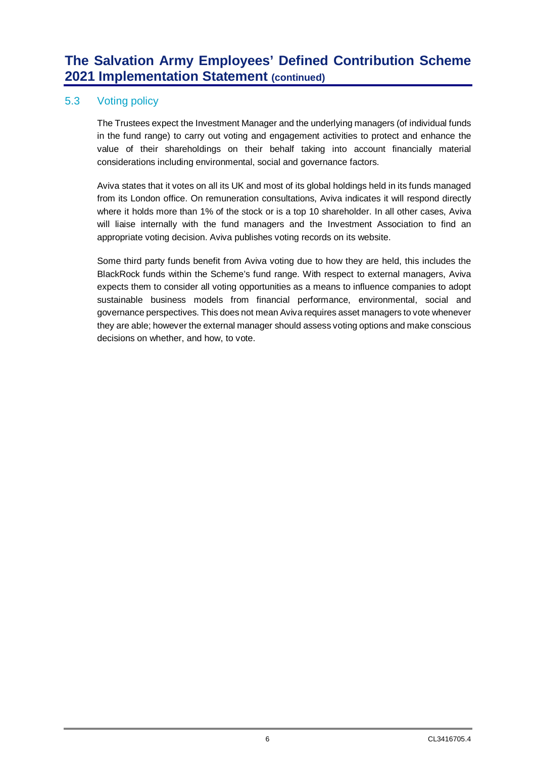### 5.3 Voting policy

The Trustees expect the Investment Manager and the underlying managers (of individual funds in the fund range) to carry out voting and engagement activities to protect and enhance the value of their shareholdings on their behalf taking into account financially material considerations including environmental, social and governance factors.

Aviva states that it votes on all its UK and most of its global holdings held in its funds managed from its London office. On remuneration consultations, Aviva indicates it will respond directly where it holds more than 1% of the stock or is a top 10 shareholder. In all other cases, Aviva will liaise internally with the fund managers and the Investment Association to find an appropriate voting decision. Aviva publishes voting records on its website.

Some third party funds benefit from Aviva voting due to how they are held, this includes the BlackRock funds within the Scheme's fund range. With respect to external managers, Aviva expects them to consider all voting opportunities as a means to influence companies to adopt sustainable business models from financial performance, environmental, social and governance perspectives. This does not mean Aviva requires asset managers to vote whenever they are able; however the external manager should assess voting options and make conscious decisions on whether, and how, to vote.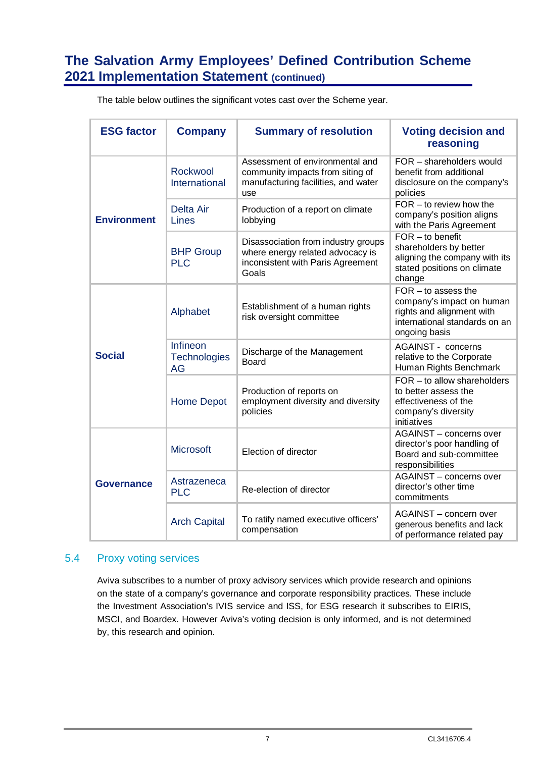| <b>ESG factor</b>  | <b>Company</b>                        | <b>Summary of resolution</b>                                                                                          | <b>Voting decision and</b><br>reasoning                                                                                           |
|--------------------|---------------------------------------|-----------------------------------------------------------------------------------------------------------------------|-----------------------------------------------------------------------------------------------------------------------------------|
| <b>Environment</b> | Rockwool<br>International             | Assessment of environmental and<br>community impacts from siting of<br>manufacturing facilities, and water<br>use     | FOR - shareholders would<br>benefit from additional<br>disclosure on the company's<br>policies                                    |
|                    | <b>Delta Air</b><br>Lines             | Production of a report on climate<br>lobbying                                                                         | $FOR - to review how the$<br>company's position aligns<br>with the Paris Agreement                                                |
|                    | <b>BHP Group</b><br><b>PLC</b>        | Disassociation from industry groups<br>where energy related advocacy is<br>inconsistent with Paris Agreement<br>Goals | $FOR - to benefit$<br>shareholders by better<br>aligning the company with its<br>stated positions on climate<br>change            |
| <b>Social</b>      | Alphabet                              | Establishment of a human rights<br>risk oversight committee                                                           | $FOR - to assess the$<br>company's impact on human<br>rights and alignment with<br>international standards on an<br>ongoing basis |
|                    | Infineon<br><b>Technologies</b><br>AG | Discharge of the Management<br><b>Board</b>                                                                           | <b>AGAINST - concerns</b><br>relative to the Corporate<br>Human Rights Benchmark                                                  |
|                    | <b>Home Depot</b>                     | Production of reports on<br>employment diversity and diversity<br>policies                                            | $FOR - to allow shareholders$<br>to better assess the<br>effectiveness of the<br>company's diversity<br>initiatives               |
| <b>Governance</b>  | <b>Microsoft</b>                      | Election of director                                                                                                  | AGAINST - concerns over<br>director's poor handling of<br>Board and sub-committee<br>responsibilities                             |
|                    | Astrazeneca<br><b>PLC</b>             | Re-election of director                                                                                               | AGAINST - concerns over<br>director's other time<br>commitments                                                                   |
|                    | <b>Arch Capital</b>                   | To ratify named executive officers'<br>compensation                                                                   | AGAINST - concern over<br>generous benefits and lack<br>of performance related pay                                                |

The table below outlines the significant votes cast over the Scheme year.

### 5.4 Proxy voting services

Aviva subscribes to a number of proxy advisory services which provide research and opinions on the state of a company's governance and corporate responsibility practices. These include the Investment Association's IVIS service and ISS, for ESG research it subscribes to EIRIS, MSCI, and Boardex. However Aviva's voting decision is only informed, and is not determined by, this research and opinion.